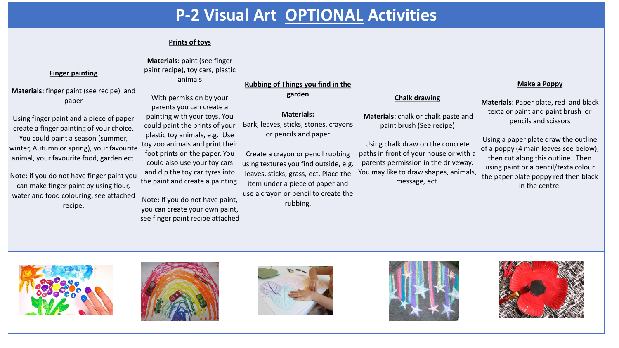## **P-2 Visual Art OPTIONAL Activities**

### **Prints of toys**

#### **Materials**: paint (see finger paint recipe), toy cars, plastic animals

With permission by your parents you can create a painting with your toys. You could paint the prints of your plastic toy animals, e.g. Use toy zoo animals and print their foot prints on the paper. You could also use your toy cars and dip the toy car tyres into

Note: If you do not have paint, you can create your own paint, see finger paint recipe attached

**Materials:** finger paint (see recipe) and paper

**Finger painting**

Using finger paint and a piece of paper create a finger painting of your choice. You could paint a season (summer, winter, Autumn or spring), your favourite animal, your favourite food, garden ect.

Note: if you do not have finger paint you can make finger paint by using flour, water and food colouring, see attached recipe. the paint and create a painting.

**Rubbing of Things you find in the** 

### **garden**

### **Materials:**

Bark, leaves, sticks, stones, crayons or pencils and paper

Create a crayon or pencil rubbing using textures you find outside, e.g. leaves, sticks, grass, ect. Place the item under a piece of paper and

use a crayon or pencil to create the rubbing.

### **Chalk drawing**

**Materials:** chalk or chalk paste and paint brush (See recipe)

Using chalk draw on the concrete paths in front of your house or with a parents permission in the driveway. You may like to draw shapes, animals, message, ect.

#### **Make a Poppy**

**Materials**: Paper plate, red and black texta or paint and paint brush or pencils and scissors

Using a paper plate draw the outline of a poppy (4 main leaves see below), then cut along this outline. Then using paint or a pencil/texta colour the paper plate poppy red then black in the centre.